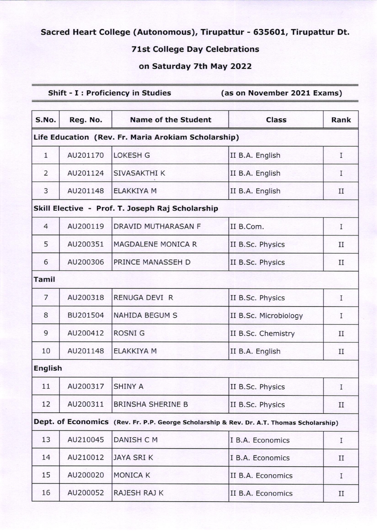## Sacred Heart College (Autonomous), Tirupattur - 635601, Tirupattur Dt.

## 71st College Day Celebrations

## on Saturday 7th May 2O22

## Shift - I : Proficiency in Studies (as on November 2021 Exams)

| S.No.                                               | Reg. No.                                                                                 | <b>Name of the Student</b> | <b>Class</b>          | Rank        |  |  |  |
|-----------------------------------------------------|------------------------------------------------------------------------------------------|----------------------------|-----------------------|-------------|--|--|--|
| Life Education (Rev. Fr. Maria Arokiam Scholarship) |                                                                                          |                            |                       |             |  |  |  |
| $\mathbf{1}$                                        | AU201170                                                                                 | <b>LOKESH G</b>            | II B.A. English       | I           |  |  |  |
| $\overline{2}$                                      | AU201124                                                                                 | SIVASAKTHI K               | II B.A. English       | I           |  |  |  |
| 3                                                   | AU201148                                                                                 | <b>ELAKKIYA M</b>          | II B.A. English       | II          |  |  |  |
| Skill Elective - Prof. T. Joseph Raj Scholarship    |                                                                                          |                            |                       |             |  |  |  |
| $\overline{4}$                                      | AU200119                                                                                 | DRAVID MUTHARASAN F        | II B.Com.             | I           |  |  |  |
| 5                                                   | AU200351                                                                                 | MAGDALENE MONICA R         | II B.Sc. Physics      | $_{II}$     |  |  |  |
| 6                                                   | AU200306                                                                                 | PRINCE MANASSEH D          | II B.Sc. Physics      | П           |  |  |  |
| <b>Tamil</b>                                        |                                                                                          |                            |                       |             |  |  |  |
| $\overline{7}$                                      | AU200318                                                                                 | RENUGA DEVI R              | II B.Sc. Physics      | I           |  |  |  |
| 8                                                   | BU201504                                                                                 | <b>NAHIDA BEGUM S</b>      | II B.Sc. Microbiology | I           |  |  |  |
| 9                                                   | AU200412                                                                                 | <b>ROSNIG</b>              | II B.Sc. Chemistry    | $_{II}$     |  |  |  |
| 10                                                  | AU201148                                                                                 | <b>ELAKKIYA M</b>          | II B.A. English       | $_{\rm II}$ |  |  |  |
| <b>English</b>                                      |                                                                                          |                            |                       |             |  |  |  |
| 11                                                  | AU200317                                                                                 | <b>SHINY A</b>             | II B.Sc. Physics      | I           |  |  |  |
| 12                                                  | AU200311                                                                                 | <b>BRINSHA SHERINE B</b>   | II B.Sc. Physics      | $_{\rm II}$ |  |  |  |
|                                                     | Dept. of Economics (Rev. Fr. P.P. George Scholarship & Rev. Dr. A.T. Thomas Scholarship) |                            |                       |             |  |  |  |
| 13                                                  | AU210045                                                                                 | DANISH C M                 | I B.A. Economics      | I           |  |  |  |
| 14                                                  | AU210012                                                                                 | <b>JAYA SRIK</b>           | I B.A. Economics      | $_{\rm II}$ |  |  |  |
| 15                                                  | AU200020                                                                                 | <b>MONICA K</b>            | II B.A. Economics     | I           |  |  |  |
| 16                                                  | AU200052                                                                                 | RAJESH RAJ K               | II B.A. Economics     | $_{\rm II}$ |  |  |  |